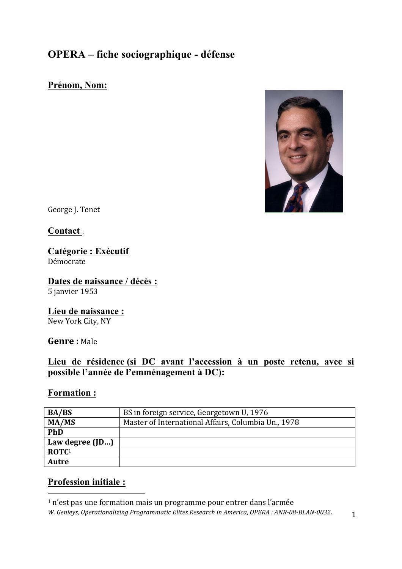## **OPERA – fiche sociographique - défense**

## **Prénom, Nom:**



George J. Tenet

**Contact** :

#### **Catégorie : Exécutif** Démocrate

**Dates de naissance / décès :**  5 janvier 1953

**Lieu de naissance :** New York City, NY

**Genre :** Male

## **Lieu de résidence (si DC avant l'accession à un poste retenu, avec si possible l'année de l'emménagement à DC):**

### **Formation :**

| <b>BA/BS</b>      | BS in foreign service, Georgetown U, 1976           |
|-------------------|-----------------------------------------------------|
| MA/MS             | Master of International Affairs, Columbia Un., 1978 |
| PhD               |                                                     |
| Law degree $(ID)$ |                                                     |
| $\mathbf{ROTC}^1$ |                                                     |
| Autre             |                                                     |

## **Profession initiale :**

 

 $1$  n'est pas une formation mais un programme pour entrer dans l'armée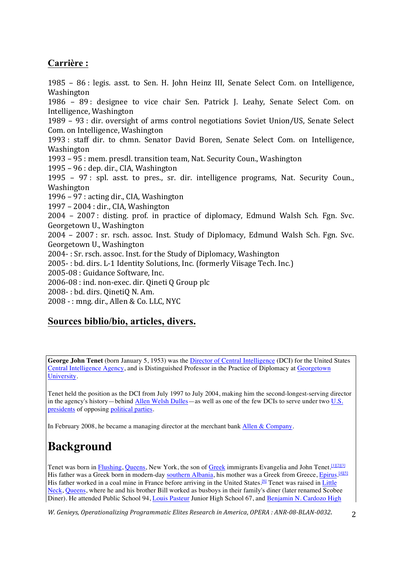## **Carrière :**

1985 – 86 : legis. asst. to Sen. H. John Heinz III, Senate Select Com. on Intelligence, Washington 1986 – 89: designee to vice chair Sen. Patrick J. Leahy, Senate Select Com. on Intelligence, Washington 1989 - 93 : dir. oversight of arms control negotiations Soviet Union/US, Senate Select Com. on Intelligence, Washington 1993 : staff dir. to chmn. Senator David Boren, Senate Select Com. on Intelligence, Washington 1993 – 95 : mem. presdl. transition team, Nat. Security Coun., Washington  $1995 - 96$ : dep. dir., CIA, Washington  $1995 - 97$ ; spl. asst. to pres., sr. dir. intelligence programs. Nat. Security Coun., Washington  $1996 - 97$ : acting dir., CIA, Washington 1997 – 2004 : dir., CIA, Washington 2004 - 2007 : disting. prof. in practice of diplomacy, Edmund Walsh Sch. Fgn. Svc. Georgetown U., Washington 2004 - 2007 : sr. rsch. assoc. Inst. Study of Diplomacy, Edmund Walsh Sch. Fgn. Svc. Georgetown U., Washington 2004- : Sr. rsch. assoc. Inst. for the Study of Diplomacy, Washington 2005- : bd. dirs. L-1 Identity Solutions, Inc. (formerly Viisage Tech. Inc.) 2005-08 : Guidance Software, Inc. 2006-08 : ind. non-exec. dir. Qineti Q Group plc 2008-: bd. dirs. QinetiQ N. Am.  $2008 -$ : mng. dir., Allen & Co. LLC, NYC

## **Sources biblio/bio, articles, divers.**

**George John Tenet** (born January 5, 1953) was the Director of Central Intelligence (DCI) for the United States Central Intelligence Agency, and is Distinguished Professor in the Practice of Diplomacy at Georgetown University.

Tenet held the position as the DCI from July 1997 to July 2004, making him the second-longest-serving director in the agency's history—behind Allen Welsh Dulles—as well as one of the few DCIs to serve under two U.S. presidents of opposing political parties.

In February 2008, he became a managing director at the merchant bank Allen & Company.

# **Background**

Tenet was born in Flushing, Queens, New York, the son of Greek immigrants Evangelia and John Tenet.<sup>[1][2][3]</sup> His father was a Greek born in modern-day southern Albania, his mother was a Greek from Greece, Epirus. [4][5] His father worked in a coal mine in France before arriving in the United States.<sup>[6]</sup> Tenet was raised in Little Neck, Queens, where he and his brother Bill worked as busboys in their family's diner (later renamed Scobee Diner). He attended Public School 94, Louis Pasteur Junior High School 67, and Benjamin N. Cardozo High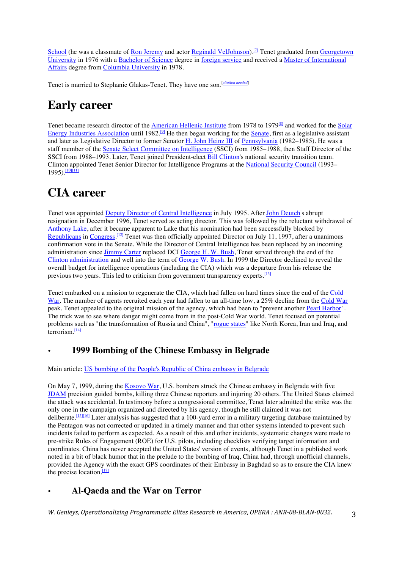School (he was a classmate of Ron Jeremy and actor Reginald VelJohnson).<sup>[7]</sup> Tenet graduated from Georgetown University in 1976 with a Bachelor of Science degree in foreign service and received a Master of International Affairs degree from Columbia University in 1978.

Tenet is married to Stephanie Glakas-Tenet. They have one son.<sup>[citation needed]</sup>

## **Early career**

Tenet became research director of the American Hellenic Institute from 1978 to 1979<sup>[8]</sup> and worked for the Solar Energy Industries Association until 1982.<sup>[9]</sup> He then began working for the Senate, first as a legislative assistant and later as Legislative Director to former Senator H. John Heinz III of Pennsylvania (1982–1985). He was a staff member of the Senate Select Committee on Intelligence (SSCI) from 1985–1988, then Staff Director of the SSCI from 1988–1993. Later, Tenet joined President-elect **Bill Clinton's** national security transition team. Clinton appointed Tenet Senior Director for Intelligence Programs at the National Security Council (1993–  $1995)$ .  $\frac{1001111}{100}$ 

## **CIA career**

Tenet was appointed Deputy Director of Central Intelligence in July 1995. After John Deutch's abrupt resignation in December 1996, Tenet served as acting director. This was followed by the reluctant withdrawal of Anthony Lake, after it became apparent to Lake that his nomination had been successfully blocked by Republicans in Congress.<sup>[12]</sup> Tenet was then officially appointed Director on July 11, 1997, after a unanimous confirmation vote in the Senate. While the Director of Central Intelligence has been replaced by an incoming administration since Jimmy Carter replaced DCI George H. W. Bush, Tenet served through the end of the Clinton administration and well into the term of George W. Bush. In 1999 the Director declined to reveal the overall budget for intelligence operations (including the CIA) which was a departure from his release the previous two years. This led to criticism from government transparency experts.  $\frac{[13]}{[13]}$ 

Tenet embarked on a mission to regenerate the CIA, which had fallen on hard times since the end of the Cold War. The number of agents recruited each year had fallen to an all-time low, a 25% decline from the Cold War peak. Tenet appealed to the original mission of the agency, which had been to "prevent another Pearl Harbor". The trick was to see where danger might come from in the post-Cold War world. Tenet focused on potential problems such as "the transformation of Russia and China", "rogue states" like North Korea, Iran and Iraq, and terrorism. $\frac{[14]}{[14]}$ 

## • **1999 Bombing of the Chinese Embassy in Belgrade**

Main article: US bombing of the People's Republic of China embassy in Belgrade

On May 7, 1999, during the Kosovo War, U.S. bombers struck the Chinese embassy in Belgrade with five JDAM precision guided bombs, killing three Chinese reporters and injuring 20 others. The United States claimed the attack was accidental. In testimony before a congressional committee, Tenet later admitted the strike was the only one in the campaign organized and directed by his agency, though he still claimed it was not deliberate.<sup>[15][16]</sup> Later analysis has suggested that a 100-yard error in a military targeting database maintained by the Pentagon was not corrected or updated in a timely manner and that other systems intended to prevent such incidents failed to perform as expected. As a result of this and other incidents, systematic changes were made to pre-strike Rules of Engagement (ROE) for U.S. pilots, including checklists verifying target information and coordinates. China has never accepted the United States' version of events, although Tenet in a published work noted in a bit of black humor that in the prelude to the bombing of Iraq, China had, through unofficial channels, provided the Agency with the exact GPS coordinates of their Embassy in Baghdad so as to ensure the CIA knew the precise location. $\frac{117}{12}$ 

### • **Al-Qaeda and the War on Terror**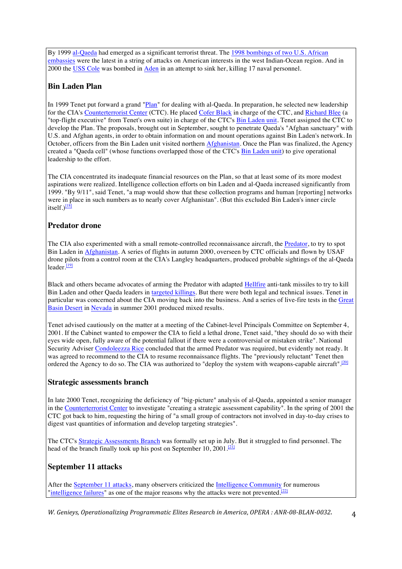By 1999 al-Qaeda had emerged as a significant terrorist threat. The 1998 bombings of two U.S. African embassies were the latest in a string of attacks on American interests in the west Indian-Ocean region. And in 2000 the USS Cole was bombed in Aden in an attempt to sink her, killing 17 naval personnel.

#### **Bin Laden Plan**

In 1999 Tenet put forward a grand "Plan" for dealing with al-Qaeda. In preparation, he selected new leadership for the CIA's Counterterrorist Center (CTC). He placed Cofer Black in charge of the CTC, and Richard Blee (a "top-flight executive" from Tenet's own suite) in charge of the CTC's **Bin Laden unit**. Tenet assigned the CTC to develop the Plan. The proposals, brought out in September, sought to penetrate Qaeda's "Afghan sanctuary" with U.S. and Afghan agents, in order to obtain information on and mount operations against Bin Laden's network. In October, officers from the Bin Laden unit visited northern Afghanistan. Once the Plan was finalized, the Agency created a "Qaeda cell" (whose functions overlapped those of the CTC's Bin Laden unit) to give operational leadership to the effort.

The CIA concentrated its inadequate financial resources on the Plan, so that at least some of its more modest aspirations were realized. Intelligence collection efforts on bin Laden and al-Qaeda increased significantly from 1999. "By 9/11", said Tenet, "a map would show that these collection programs and human [reporting] networks were in place in such numbers as to nearly cover Afghanistan". (But this excluded Bin Laden's inner circle itself.) $\frac{18}{8}$ 

#### **Predator drone**

The CIA also experimented with a small remote-controlled reconnaissance aircraft, the Predator, to try to spot Bin Laden in Afghanistan. A series of flights in autumn 2000, overseen by CTC officials and flown by USAF drone pilots from a control room at the CIA's Langley headquarters, produced probable sightings of the al-Qaeda leader.<sup>[19]</sup>

Black and others became advocates of arming the Predator with adapted Hellfire anti-tank missiles to try to kill Bin Laden and other Qaeda leaders in targeted killings. But there were both legal and technical issues. Tenet in particular was concerned about the CIA moving back into the business. And a series of live-fire tests in the Great Basin Desert in Nevada in summer 2001 produced mixed results.

Tenet advised cautiously on the matter at a meeting of the Cabinet-level Principals Committee on September 4, 2001. If the Cabinet wanted to empower the CIA to field a lethal drone, Tenet said, "they should do so with their eyes wide open, fully aware of the potential fallout if there were a controversial or mistaken strike". National Security Adviser Condoleezza Rice concluded that the armed Predator was required, but evidently not ready. It was agreed to recommend to the CIA to resume reconnaissance flights. The "previously reluctant" Tenet then ordered the Agency to do so. The CIA was authorized to "deploy the system with weapons-capable aircraft".<sup>[20]</sup>

#### **Strategic assessments branch**

In late 2000 Tenet, recognizing the deficiency of "big-picture" analysis of al-Qaeda, appointed a senior manager in the Counterterrorist Center to investigate "creating a strategic assessment capability". In the spring of 2001 the CTC got back to him, requesting the hiring of "a small group of contractors not involved in day-to-day crises to digest vast quantities of information and develop targeting strategies".

The CTC's Strategic Assessments Branch was formally set up in July. But it struggled to find personnel. The head of the branch finally took up his post on September 10, 2001.<sup>[21]</sup>

#### **September 11 attacks**

After the September 11 attacks, many observers criticized the Intelligence Community for numerous "intelligence failures" as one of the major reasons why the attacks were not prevented.<sup>[22]</sup>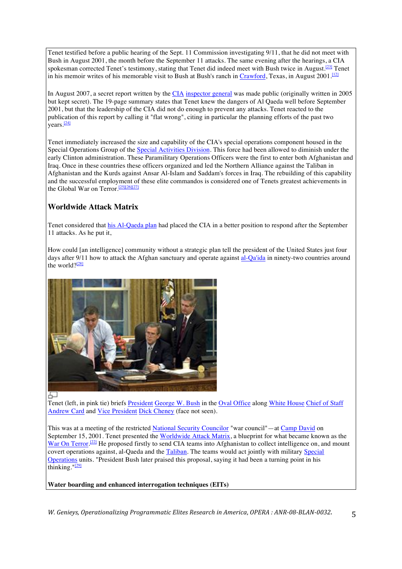Tenet testified before a public hearing of the Sept. 11 Commission investigating 9/11, that he did not meet with Bush in August 2001, the month before the September 11 attacks. The same evening after the hearings, a CIA spokesman corrected Tenet's testimony, stating that Tenet did indeed meet with Bush twice in August.<sup>[23]</sup> Tenet in his memoir writes of his memorable visit to Bush at Bush's ranch in Crawford, Texas, in August 2001.<sup>[12]</sup>

In August 2007, a secret report written by the CIA inspector general was made public (originally written in 2005 but kept secret). The 19-page summary states that Tenet knew the dangers of Al Qaeda well before September 2001, but that the leadership of the CIA did not do enough to prevent any attacks. Tenet reacted to the publication of this report by calling it "flat wrong", citing in particular the planning efforts of the past two years.<sup>[24]</sup>

Tenet immediately increased the size and capability of the CIA's special operations component housed in the Special Operations Group of the Special Activities Division. This force had been allowed to diminish under the early Clinton administration. These Paramilitary Operations Officers were the first to enter both Afghanistan and Iraq. Once in these countries these officers organized and led the Northern Alliance against the Taliban in Afghanistan and the Kurds against Ansar Al-Islam and Saddam's forces in Iraq. The rebuilding of this capability and the successful employment of these elite commandos is considered one of Tenets greatest achievements in the Global War on Terror.<sup>[25][26][27]</sup>

#### **Worldwide Attack Matrix**

Tenet considered that his Al-Qaeda plan had placed the CIA in a better position to respond after the September 11 attacks. As he put it,

How could [an intelligence] community without a strategic plan tell the president of the United States just four days after 9/11 how to attack the Afghan sanctuary and operate against al-Qa'ida in ninety-two countries around the world? $\frac{281}{28}$ 



Tenet (left, in pink tie) briefs President George W. Bush in the Oval Office along White House Chief of Staff Andrew Card and Vice President Dick Cheney (face not seen).

This was at a meeting of the restricted National Security Councilor "war council"—at Camp David on September 15, 2001. Tenet presented the Worldwide Attack Matrix, a blueprint for what became known as the War On Terror.<sup>[22]</sup> He proposed firstly to send CIA teams into Afghanistan to collect intelligence on, and mount covert operations against, al-Qaeda and the Taliban. The teams would act jointly with military Special Operations units. "President Bush later praised this proposal, saying it had been a turning point in his thinking."<sup>[29]</sup>

#### **Water boarding and enhanced interrogation techniques (EITs)**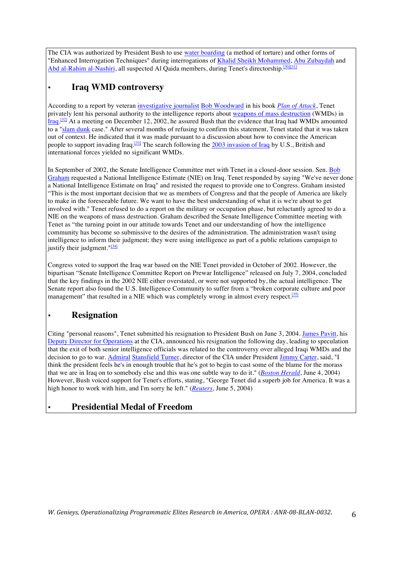The CIA was authorized by President Bush to use water boarding (a method of torture) and other forms of "Enhanced Interrogation Techniques" during interrogations of Khalid Sheikh Mohammed, Abu Zubaydah and Abd al-Rahim al-Nashiri, all suspected Al Qaida members, during Tenet's directorship.<sup>[30][31]</sup>

## • **Iraq WMD controversy**

According to a report by veteran investigative journalist Bob Woodward in his book *Plan of Attack*, Tenet privately lent his personal authority to the intelligence reports about weapons of mass destruction (WMDs) in Iraq.<sup>[32]</sup> At a meeting on December 12, 2002, he assured Bush that the evidence that Iraq had WMDs amounted to a "slam dunk case." After several months of refusing to confirm this statement, Tenet stated that it was taken out of context. He indicated that it was made pursuant to a discussion about how to convince the American people to support invading Iraq.<sup>[33]</sup> The search following the 2003 invasion of Iraq by U.S., British and international forces yielded no significant WMDs.

In September of 2002, the Senate Intelligence Committee met with Tenet in a closed-door session. Sen. Bob Graham requested a National Intelligence Estimate (NIE) on Iraq. Tenet responded by saying "We've never done a National Intelligence Estimate on Iraq" and resisted the request to provide one to Congress. Graham insisted "This is the most important decision that we as members of Congress and that the people of America are likely to make in the foreseeable future. We want to have the best understanding of what it is we're about to get involved with." Tenet refused to do a report on the military or occupation phase, but reluctantly agreed to do a NIE on the weapons of mass destruction. Graham described the Senate Intelligence Committee meeting with Tenet as "the turning point in our attitude towards Tenet and our understanding of how the intelligence community has become so submissive to the desires of the administration. The administration wasn't using intelligence to inform their judgment; they were using intelligence as part of a public relations campaign to justify their judgment." $[34]$ 

Congress voted to support the Iraq war based on the NIE Tenet provided in October of 2002. However, the bipartisan "Senate Intelligence Committee Report on Prewar Intelligence" released on July 7, 2004, concluded that the key findings in the 2002 NIE either overstated, or were not supported by, the actual intelligence. The Senate report also found the U.S. Intelligence Community to suffer from a "broken corporate culture and poor management" that resulted in a NIE which was completely wrong in almost every respect.<sup>[35]</sup>

## • **Resignation**

Citing "personal reasons", Tenet submitted his resignation to President Bush on June 3, 2004. James Pavitt, his Deputy Director for Operations at the CIA, announced his resignation the following day, leading to speculation that the exit of both senior intelligence officials was related to the controversy over alleged Iraqi WMDs and the decision to go to war. Admiral Stansfield Turner, director of the CIA under President Jimmy Carter, said, "I think the president feels he's in enough trouble that he's got to begin to cast some of the blame for the morass that we are in Iraq on to somebody else and this was one subtle way to do it." (*Boston Herald*, June 4, 2004) However, Bush voiced support for Tenet's efforts, stating, "George Tenet did a superb job for America. It was a high honor to work with him, and I'm sorry he left." (*Reuters*, June 5, 2004)

### • **Presidential Medal of Freedom**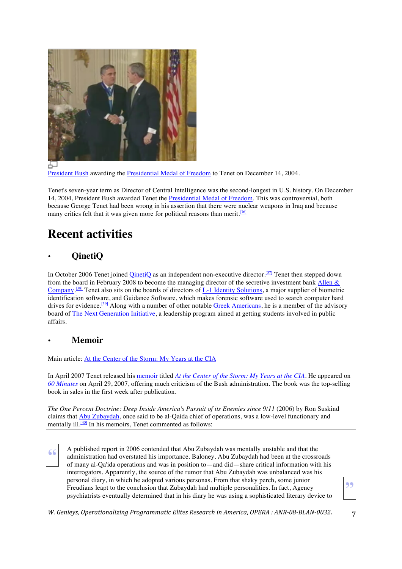

President Bush awarding the Presidential Medal of Freedom to Tenet on December 14, 2004.

Tenet's seven-year term as Director of Central Intelligence was the second-longest in U.S. history. On December 14, 2004, President Bush awarded Tenet the Presidential Medal of Freedom. This was controversial, both because George Tenet had been wrong in his assertion that there were nuclear weapons in Iraq and because many critics felt that it was given more for political reasons than merit.<sup>[36]</sup>

# **Recent activities**

## • **QinetiQ**

In October 2006 Tenet joined QinetiQ as an independent non-executive director.<sup>[37]</sup> Tenet then stepped down from the board in February 2008 to become the managing director of the secretive investment bank Allen & Company.<sup>[38]</sup> Tenet also sits on the boards of directors of <u>L-1 Identity Solutions</u>, a major supplier of biometric identification software, and Guidance Software, which makes forensic software used to search computer hard drives for evidence.<sup>[39]</sup> Along with a number of other notable Greek Americans, he is a member of the advisory board of The Next Generation Initiative, a leadership program aimed at getting students involved in public affairs.

### • **Memoir**

Main article: At the Center of the Storm: My Years at the CIA

In April 2007 Tenet released his memoir titled *At the Center of the Storm: My Years at the CIA*. He appeared on *60 Minutes* on April 29, 2007, offering much criticism of the Bush administration. The book was the top-selling book in sales in the first week after publication.

*The One Percent Doctrine: Deep Inside America's Pursuit of its Enemies since 9/11* (2006) by Ron Suskind claims that Abu Zubaydah, once said to be al-Qaida chief of operations, was a low-level functionary and mentally ill.<sup>[40]</sup> In his memoirs, Tenet commented as follows:

**42** A published report in 2006 contended that Abu Zubaydah was mentally unstable and that the administration had overstated his importance. Baloney. Abu Zubaydah had been at the crossroads of many al Oalida operations and of many al-Qa'ida operations and was in position to—and did—share critical information with his interrogators. Apparently, the source of the rumor that Abu Zubaydah was unbalanced was his personal diary, in which he adopted various personas. From that shaky perch, some junior Freudians leapt to the conclusion that Zubaydah had multiple personalities. In fact, Agency psychiatrists eventually determined that in his diary he was using a sophisticated literary device to

**"**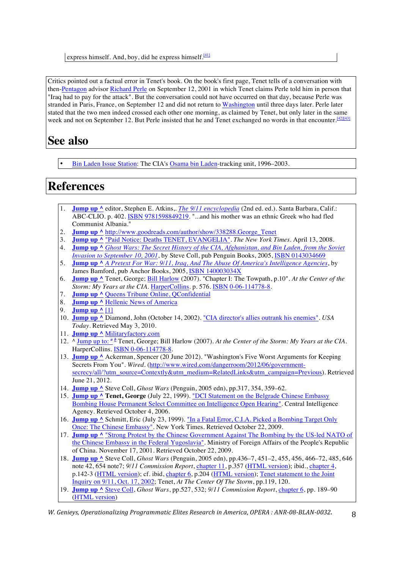express himself. And, boy, did he express himself.<sup>[41]</sup>

Critics pointed out a factual error in Tenet's book. On the book's first page, Tenet tells of a conversation with then-Pentagon advisor Richard Perle on September 12, 2001 in which Tenet claims Perle told him in person that "Iraq had to pay for the attack". But the conversation could not have occurred on that day, because Perle was stranded in Paris, France, on September 12 and did not return to Washington until three days later. Perle later stated that the two men indeed crossed each other one morning, as claimed by Tenet, but only later in the same week and not on September 12. But Perle insisted that he and Tenet exchanged no words in that encounter.<sup>[42][43]</sup>

## **See also**

• Bin Laden Issue Station: The CIA's Osama bin Laden-tracking unit, 1996–2003.

## **References**

- 1. **Jump up ^** editor, Stephen E. Atkins,. *The 9/11 encyclopedia* (2nd ed. ed.). Santa Barbara, Calif.: ABC-CLIO. p. 402. ISBN 9781598849219. "...and his mother was an ethnic Greek who had fled Communist Albania."
- 2. **Jump up ^** http://www.goodreads.com/author/show/338288.George\_Tenet
- 3. **Jump up ^** "Paid Notice: Deaths TENET, EVANGELIA". *The New York Times*. April 13, 2008.
- 4. **Jump up ^** *Ghost Wars: The Secret History of the CIA, Afghanistan, and Bin Laden, from the Soviet Invasion to September 10, 2001*, by Steve Coll, pub Penguin Books, 2005, ISBN 0143034669
- 5. **Jump up ^** *A Pretext For War: 9/11, Iraq, And The Abuse Of America's Intelligence Agencies*, by James Bamford, pub Anchor Books, 2005, ISBN 140003034X
- 6. **Jump up ^** Tenet, George; Bill Harlow (2007). "Chapter I: The Towpath, p.10". *At the Center of the Storm: My Years at the CIA*. HarperCollins. p. 576. ISBN 0-06-114778-8.
- 7. **Jump up ^** Queens Tribune Online, QConfidential
- 8. **Jump up ^** Hellenic News of America
- 9. **Jump up ^** [1]
- 10. **Jump up ^** Diamond, John (October 14, 2002). "CIA director's allies outrank his enemies". *USA Today*. Retrieved May 3, 2010.
- 11. **Jump up ^** Militaryfactory.com
- 12. ^ Jump up to: *<sup>a</sup> <sup>b</sup>* Tenet, George; Bill Harlow (2007). *At the Center of the Storm: My Years at the CIA*. HarperCollins. ISBN 0-06-114778-8.
- 13. **Jump up ^** Ackerman, Spencer (20 June 2012). "Washington's Five Worst Arguments for Keeping Secrets From You". *Wired*. (http://www.wired.com/dangerroom/2012/06/governmentsecrecy/all/?utm\_source=Contextly&utm\_medium=RelatedLinks&utm\_campaign=Previous). Retrieved June 21, 2012.
- 14. **Jump up ^** Steve Coll, *Ghost Wars* (Penguin, 2005 edn), pp.317, 354, 359–62.
- 15. **Jump up ^ Tenet, George** (July 22, 1999). "DCI Statement on the Belgrade Chinese Embassy Bombing House Permanent Select Committee on Intelligence Open Hearing". Central Intelligence Agency. Retrieved October 4, 2006.
- 16. **Jump up ^** Schmitt, Eric (July 23, 1999). "In a Fatal Error, C.I.A. Picked a Bombing Target Only Once: The Chinese Embassy". New York Times. Retrieved October 22, 2009.
- 17. **Jump up ^** "Strong Protest by the Chinese Government Against The Bombing by the US-led NATO of the Chinese Embassy in the Federal Yugoslavia". Ministry of Foreign Affairs of the People's Republic of China. November 17, 2001. Retrieved October 22, 2009.
- 18. **Jump up ^** Steve Coll, *Ghost Wars* (Penguin, 2005 edn), pp.436–7, 451–2, 455, 456, 466–72, 485, 646 note 42, 654 note7; *9/11 Commission Report*, chapter 11, p.357 (HTML version); ibid., chapter 4, p.142-3 (HTML version); cf. ibid, chapter 6, p.204 (HTML version); Tenet statement to the Joint Inquiry on 9/11, Oct. 17, 2002; Tenet, *At The Center Of The Storm*, pp.119, 120.
- 19. **Jump up ^** Steve Coll, *Ghost Wars*, pp.527, 532; *9/11 Commission Report*, chapter 6, pp. 189–90 (HTML version)

*W. Genieys, Operationalizing Programmatic Elites Research in America, OPERA* : ANR-08-BLAN-0032.  $\qquad 8$